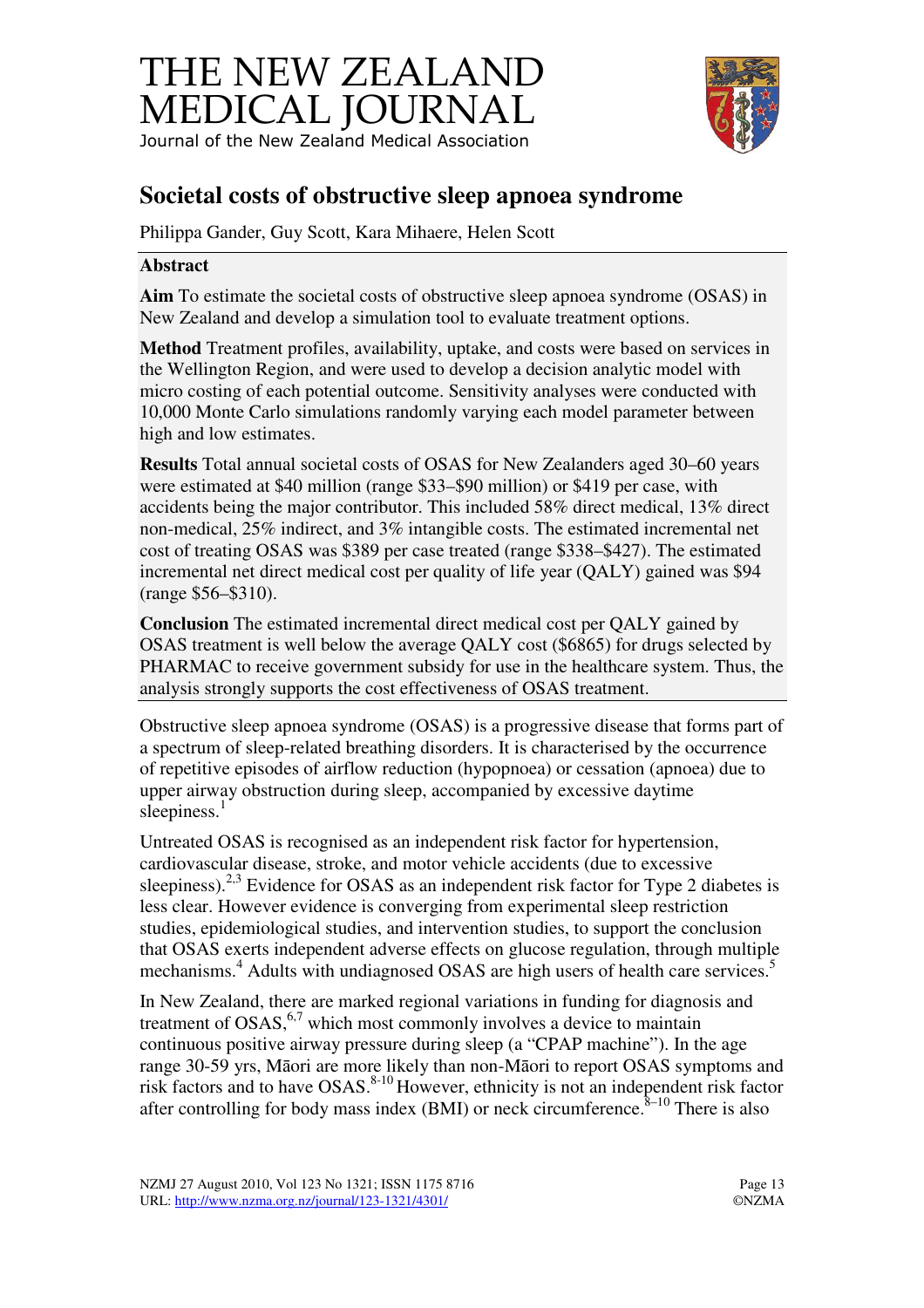



# **Societal costs of obstructive sleep apnoea syndrome**

Philippa Gander, Guy Scott, Kara Mihaere, Helen Scott

#### **Abstract**

**Aim** To estimate the societal costs of obstructive sleep apnoea syndrome (OSAS) in New Zealand and develop a simulation tool to evaluate treatment options.

**Method** Treatment profiles, availability, uptake, and costs were based on services in the Wellington Region, and were used to develop a decision analytic model with micro costing of each potential outcome. Sensitivity analyses were conducted with 10,000 Monte Carlo simulations randomly varying each model parameter between high and low estimates.

**Results** Total annual societal costs of OSAS for New Zealanders aged 30–60 years were estimated at \$40 million (range \$33–\$90 million) or \$419 per case, with accidents being the major contributor. This included 58% direct medical, 13% direct non-medical, 25% indirect, and 3% intangible costs. The estimated incremental net cost of treating OSAS was \$389 per case treated (range \$338–\$427). The estimated incremental net direct medical cost per quality of life year (QALY) gained was \$94 (range \$56–\$310).

**Conclusion** The estimated incremental direct medical cost per QALY gained by OSAS treatment is well below the average QALY cost (\$6865) for drugs selected by PHARMAC to receive government subsidy for use in the healthcare system. Thus, the analysis strongly supports the cost effectiveness of OSAS treatment.

Obstructive sleep apnoea syndrome (OSAS) is a progressive disease that forms part of a spectrum of sleep-related breathing disorders. It is characterised by the occurrence of repetitive episodes of airflow reduction (hypopnoea) or cessation (apnoea) due to upper airway obstruction during sleep, accompanied by excessive daytime sleepiness.<sup>1</sup>

Untreated OSAS is recognised as an independent risk factor for hypertension, cardiovascular disease, stroke, and motor vehicle accidents (due to excessive sleepiness).<sup>2,3</sup> Evidence for OSAS as an independent risk factor for Type 2 diabetes is less clear. However evidence is converging from experimental sleep restriction studies, epidemiological studies, and intervention studies, to support the conclusion that OSAS exerts independent adverse effects on glucose regulation, through multiple mechanisms.<sup>4</sup> Adults with undiagnosed OSAS are high users of health care services.<sup>5</sup>

In New Zealand, there are marked regional variations in funding for diagnosis and treatment of  $OSAS$ , which most commonly involves a device to maintain continuous positive airway pressure during sleep (a "CPAP machine"). In the age range 30-59 yrs, Māori are more likely than non-Māori to report OSAS symptoms and risk factors and to have OSAS.<sup>8-10</sup> However, ethnicity is not an independent risk factor after controlling for body mass index (BMI) or neck circumference. $8-10$  There is also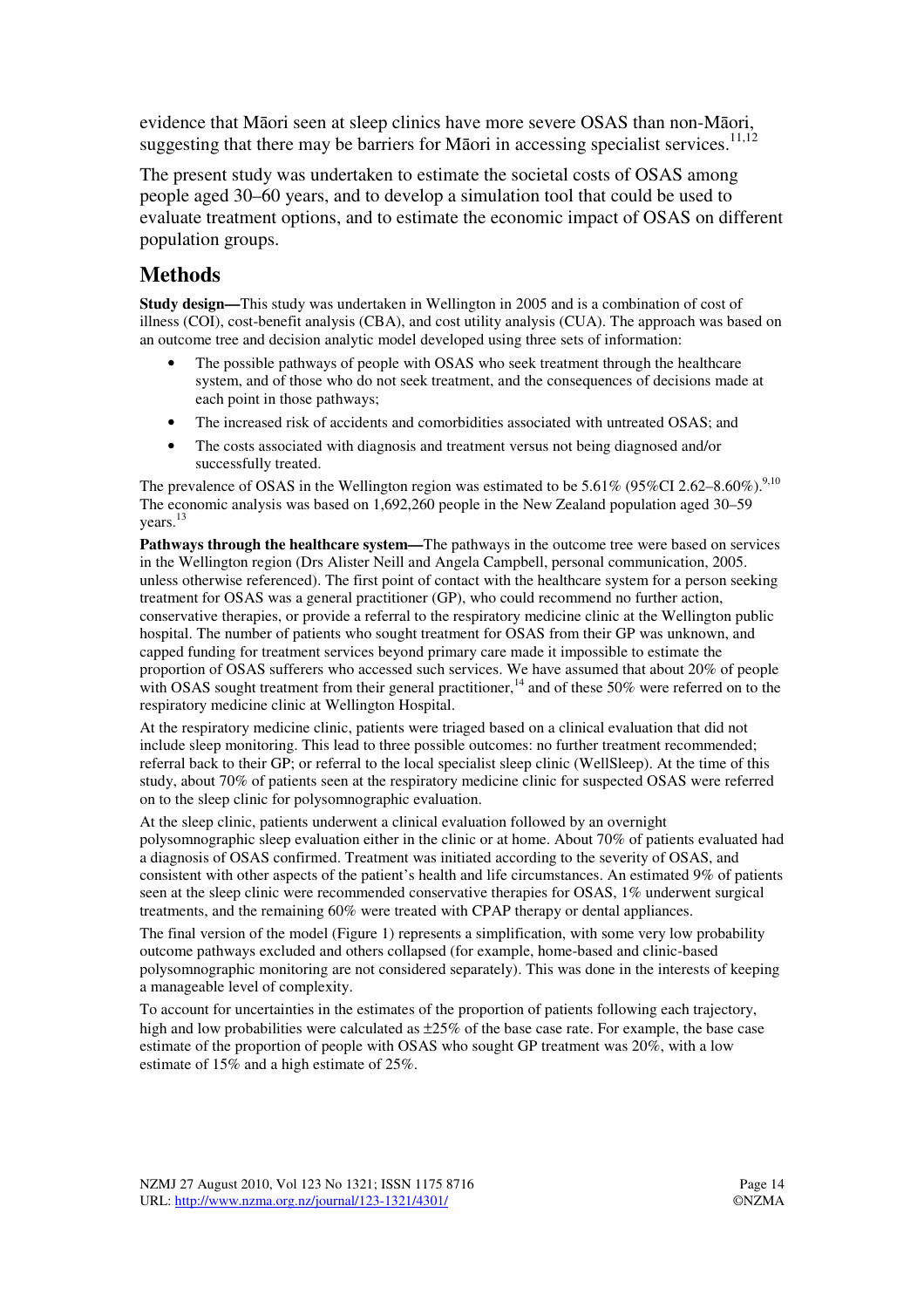evidence that Māori seen at sleep clinics have more severe OSAS than non-Māori, suggesting that there may be barriers for Māori in accessing specialist services.<sup>11,12</sup>

The present study was undertaken to estimate the societal costs of OSAS among people aged 30–60 years, and to develop a simulation tool that could be used to evaluate treatment options, and to estimate the economic impact of OSAS on different population groups.

## **Methods**

**Study design—**This study was undertaken in Wellington in 2005 and is a combination of cost of illness (COI), cost-benefit analysis (CBA), and cost utility analysis (CUA). The approach was based on an outcome tree and decision analytic model developed using three sets of information:

- The possible pathways of people with OSAS who seek treatment through the healthcare system, and of those who do not seek treatment, and the consequences of decisions made at each point in those pathways;
- The increased risk of accidents and comorbidities associated with untreated OSAS; and
- The costs associated with diagnosis and treatment versus not being diagnosed and/or successfully treated.

The prevalence of OSAS in the Wellington region was estimated to be  $5.61\%$  (95%CI 2.62–8.60%).<sup>9,10</sup> The economic analysis was based on 1,692,260 people in the New Zealand population aged 30–59 years.<sup>13</sup>

**Pathways through the healthcare system—**The pathways in the outcome tree were based on services in the Wellington region (Drs Alister Neill and Angela Campbell, personal communication, 2005. unless otherwise referenced). The first point of contact with the healthcare system for a person seeking treatment for OSAS was a general practitioner (GP), who could recommend no further action, conservative therapies, or provide a referral to the respiratory medicine clinic at the Wellington public hospital. The number of patients who sought treatment for OSAS from their GP was unknown, and capped funding for treatment services beyond primary care made it impossible to estimate the proportion of OSAS sufferers who accessed such services. We have assumed that about 20% of people with OSAS sought treatment from their general practitioner,<sup>14</sup> and of these 50% were referred on to the respiratory medicine clinic at Wellington Hospital.

At the respiratory medicine clinic, patients were triaged based on a clinical evaluation that did not include sleep monitoring. This lead to three possible outcomes: no further treatment recommended; referral back to their GP; or referral to the local specialist sleep clinic (WellSleep). At the time of this study, about 70% of patients seen at the respiratory medicine clinic for suspected OSAS were referred on to the sleep clinic for polysomnographic evaluation.

At the sleep clinic, patients underwent a clinical evaluation followed by an overnight polysomnographic sleep evaluation either in the clinic or at home. About 70% of patients evaluated had a diagnosis of OSAS confirmed. Treatment was initiated according to the severity of OSAS, and consistent with other aspects of the patient's health and life circumstances. An estimated 9% of patients seen at the sleep clinic were recommended conservative therapies for OSAS, 1% underwent surgical treatments, and the remaining 60% were treated with CPAP therapy or dental appliances.

The final version of the model (Figure 1) represents a simplification, with some very low probability outcome pathways excluded and others collapsed (for example, home-based and clinic-based polysomnographic monitoring are not considered separately). This was done in the interests of keeping a manageable level of complexity.

To account for uncertainties in the estimates of the proportion of patients following each trajectory, high and low probabilities were calculated as  $\pm 25\%$  of the base case rate. For example, the base case estimate of the proportion of people with OSAS who sought GP treatment was 20%, with a low estimate of 15% and a high estimate of 25%.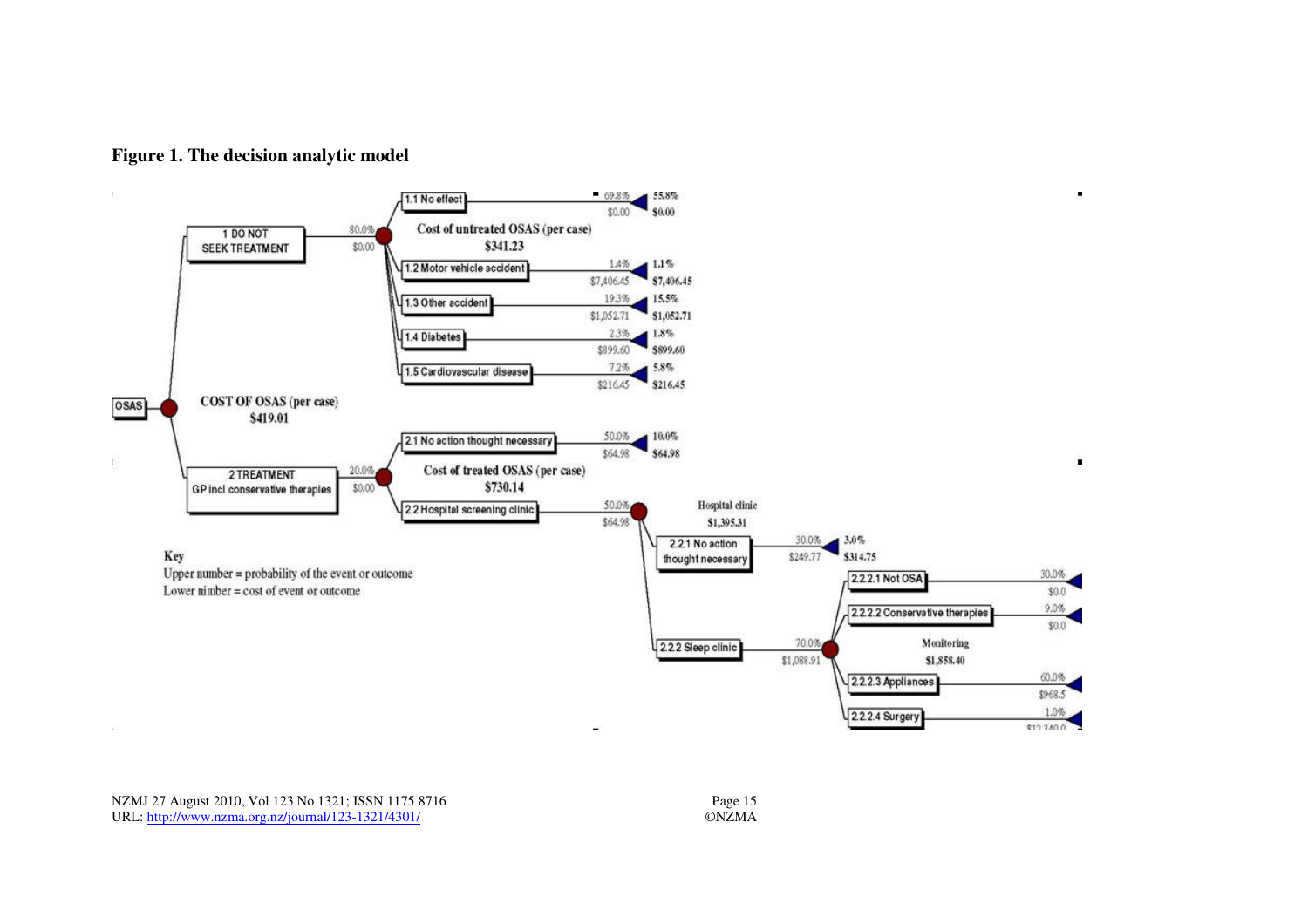

#### **Figure 1. The decision analytic model**

NZMJ 27 August 2010, Vol 123 No 1321; ISSN 1175 8716 Page 15 URL: http://www.nzma.org.nz/journal/123-1321/4301/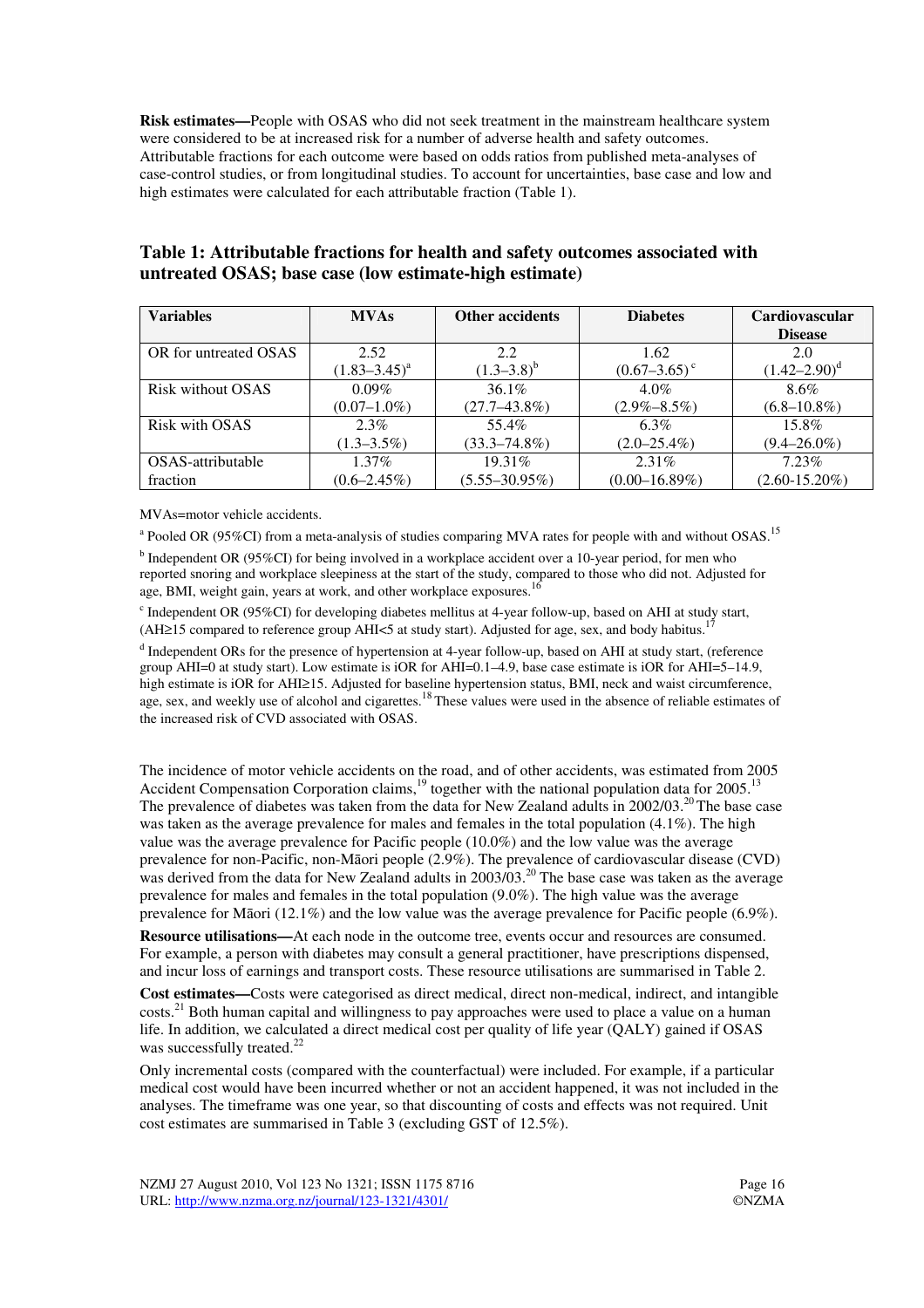**Risk estimates—**People with OSAS who did not seek treatment in the mainstream healthcare system were considered to be at increased risk for a number of adverse health and safety outcomes. Attributable fractions for each outcome were based on odds ratios from published meta-analyses of case-control studies, or from longitudinal studies. To account for uncertainties, base case and low and high estimates were calculated for each attributable fraction (Table 1).

| <b>Variables</b>      | <b>MVAs</b>       | <b>Other accidents</b> | <b>Diabetes</b>            | Cardiovascular     |
|-----------------------|-------------------|------------------------|----------------------------|--------------------|
|                       |                   |                        |                            | <b>Disease</b>     |
| OR for untreated OSAS | 2.52              | 2.2                    | 1.62                       | 2.0                |
|                       | $(1.83 - 3.45)^a$ | $(1.3-3.8)^{b}$        | $(0.67-3.65)$ <sup>c</sup> | $(1.42 - 2.90)^d$  |
| Risk without OSAS     | $0.09\%$          | $36.1\%$               | $4.0\%$                    | 8.6%               |
|                       | $(0.07-1.0\%)$    | $(27.7 - 43.8\%)$      | $(2.9\% - 8.5\%)$          | $(6.8 - 10.8\%)$   |
| Risk with OSAS        | $2.3\%$           | 55.4%                  | $6.3\%$                    | $15.8\%$           |
|                       | $(1.3 - 3.5\%)$   | $(33.3 - 74.8\%)$      | $(2.0 - 25.4\%)$           | $(9.4 - 26.0\%)$   |
| OSAS-attributable     | $1.37\%$          | $19.31\%$              | 2.31%                      | $7.23\%$           |
| fraction              | $(0.6 - 2.45\%)$  | $(5.55 - 30.95\%)$     | $(0.00-16.89%)$            | $(2.60 - 15.20\%)$ |

#### **Table 1: Attributable fractions for health and safety outcomes associated with untreated OSAS; base case (low estimate-high estimate)**

MVAs=motor vehicle accidents.

 $^{\text{a}}$  Pooled OR (95%CI) from a meta-analysis of studies comparing MVA rates for people with and without OSAS.<sup>15</sup>

<sup>b</sup> Independent OR (95%CI) for being involved in a workplace accident over a 10-year period, for men who reported snoring and workplace sleepiness at the start of the study, compared to those who did not. Adjusted for age, BMI, weight gain, years at work, and other workplace exposures.<sup>16</sup>

<sup>c</sup> Independent OR (95%CI) for developing diabetes mellitus at 4-year follow-up, based on AHI at study start, (AH≥15 compared to reference group AHI<5 at study start). Adjusted for age, sex, and body habitus.<sup>17</sup>

<sup>d</sup> Independent ORs for the presence of hypertension at 4-year follow-up, based on AHI at study start, (reference group AHI=0 at study start). Low estimate is iOR for AHI=0.1–4.9, base case estimate is iOR for AHI=5–14.9, high estimate is iOR for AHI≥15. Adjusted for baseline hypertension status, BMI, neck and waist circumference, age, sex, and weekly use of alcohol and cigarettes.<sup>18</sup> These values were used in the absence of reliable estimates of the increased risk of CVD associated with OSAS.

The incidence of motor vehicle accidents on the road, and of other accidents, was estimated from 2005 Accident Compensation Corporation claims, $19$  together with the national population data for 2005.<sup>13</sup> The prevalence of diabetes was taken from the data for New Zealand adults in  $2002/03$ .<sup>20</sup>The base case was taken as the average prevalence for males and females in the total population (4.1%). The high value was the average prevalence for Pacific people (10.0%) and the low value was the average prevalence for non-Pacific, non-Māori people (2.9%). The prevalence of cardiovascular disease (CVD) was derived from the data for New Zealand adults in 2003/03.<sup>20</sup> The base case was taken as the average prevalence for males and females in the total population (9.0%). The high value was the average prevalence for Māori (12.1%) and the low value was the average prevalence for Pacific people (6.9%).

**Resource utilisations—**At each node in the outcome tree, events occur and resources are consumed. For example, a person with diabetes may consult a general practitioner, have prescriptions dispensed, and incur loss of earnings and transport costs. These resource utilisations are summarised in Table 2.

**Cost estimates—**Costs were categorised as direct medical, direct non-medical, indirect, and intangible costs.<sup>21</sup> Both human capital and willingness to pay approaches were used to place a value on a human life. In addition, we calculated a direct medical cost per quality of life year (QALY) gained if OSAS was successfully treated.<sup>22</sup>

Only incremental costs (compared with the counterfactual) were included. For example, if a particular medical cost would have been incurred whether or not an accident happened, it was not included in the analyses. The timeframe was one year, so that discounting of costs and effects was not required. Unit cost estimates are summarised in Table 3 (excluding GST of 12.5%).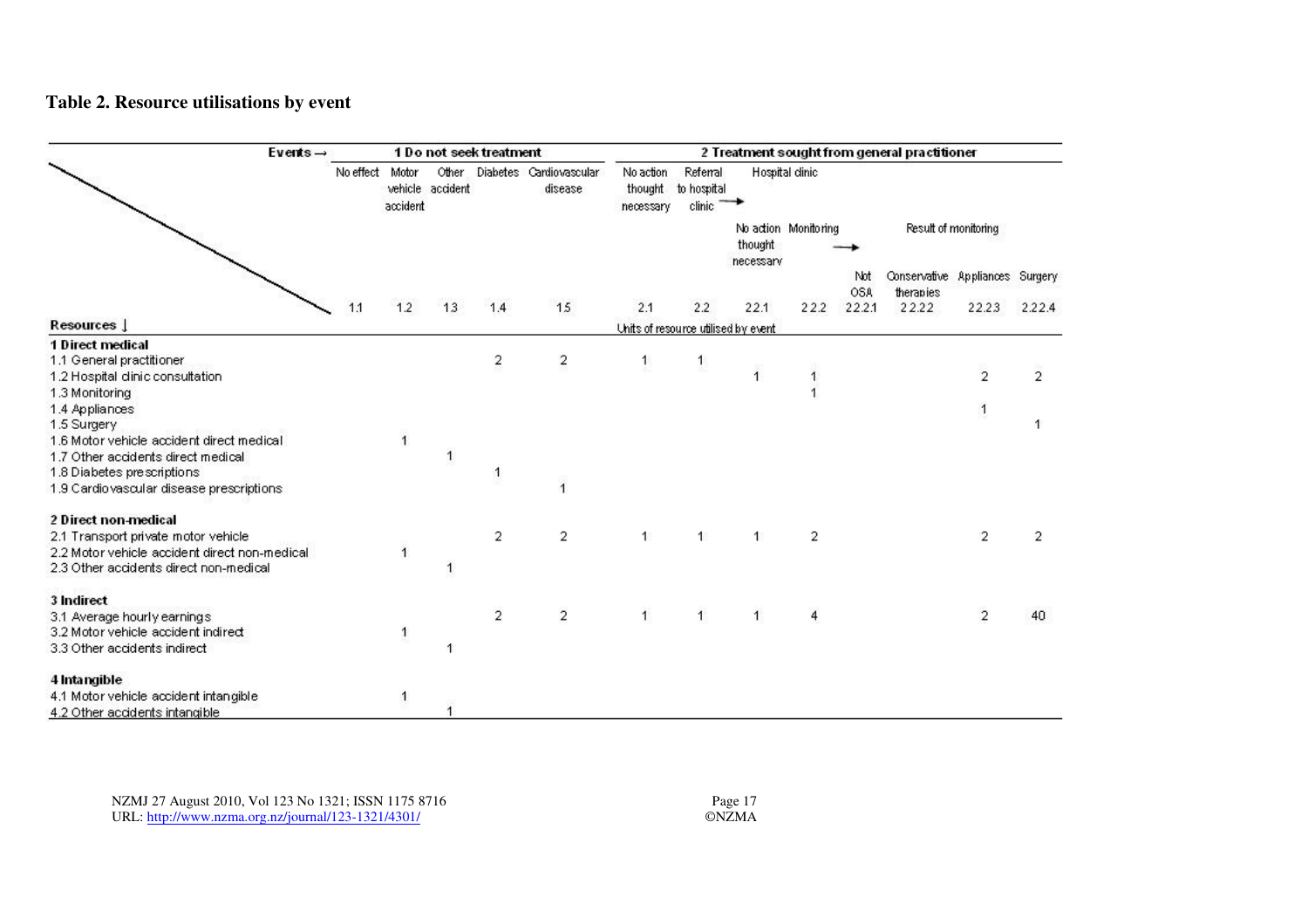### **Table 2. Resource utilisations by event**

| $E$ vents $\rightarrow$                           |                 | 1 Do not seek treatment |                           |                         |                                    | 2 Treatment sought from general practitioner |                                     |                      |                      |                   |                                              |                |                |
|---------------------------------------------------|-----------------|-------------------------|---------------------------|-------------------------|------------------------------------|----------------------------------------------|-------------------------------------|----------------------|----------------------|-------------------|----------------------------------------------|----------------|----------------|
|                                                   | No effect Motor | accident                | Other<br>vehicle accident |                         | Diabetes Cardiovascular<br>disease | No action<br>thought<br>necessary            | Referral<br>to hospital<br>clinic   |                      | Hospital dinic       |                   |                                              |                |                |
|                                                   |                 |                         |                           |                         |                                    |                                              |                                     | thought<br>necessary | No action Monitoring |                   | Result of monitoring                         |                |                |
|                                                   |                 |                         |                           |                         |                                    |                                              |                                     |                      |                      | Not<br><b>OSA</b> | Conservative Appliances Surgery<br>therapies |                |                |
|                                                   | 1.1             | 1.2                     | 13                        | 1.4                     | 15                                 | 2.1                                          | 2.2                                 | 22.1                 | 22.2                 | 22.2.1            | 22.22                                        | 22.23          | 2.22.4         |
| Resources J                                       |                 |                         |                           |                         |                                    |                                              | Units of resource utilised by event |                      |                      |                   |                                              |                |                |
| <b>1 Direct medical</b>                           |                 |                         |                           |                         |                                    |                                              |                                     |                      |                      |                   |                                              |                |                |
| 1.1 General practitioner                          |                 |                         |                           | $\overline{\mathbf{c}}$ | $\overline{\mathbf{c}}$            | $\mathbf{1}$                                 | $\mathbf{1}$                        |                      |                      |                   |                                              |                |                |
| 1.2 Hospital dinic consultation<br>1.3 Monitoring |                 |                         |                           |                         |                                    |                                              |                                     | $\overline{1}$       |                      |                   |                                              | $\overline{2}$ | $\overline{2}$ |
| 1.4 Appliances                                    |                 |                         |                           |                         |                                    |                                              |                                     |                      |                      |                   |                                              |                |                |
| 1.5 Surgery                                       |                 |                         |                           |                         |                                    |                                              |                                     |                      |                      |                   |                                              |                |                |
| 1.6 Motor vehicle accident direct medical         |                 | 1                       |                           |                         |                                    |                                              |                                     |                      |                      |                   |                                              |                |                |
| 1.7 Other accidents direct medical                |                 |                         |                           |                         |                                    |                                              |                                     |                      |                      |                   |                                              |                |                |
| 1.8 Diabetes prescriptions                        |                 |                         |                           |                         |                                    |                                              |                                     |                      |                      |                   |                                              |                |                |
| 1.9 Cardio vascular disease prescriptions         |                 |                         |                           |                         | $\overline{1}$                     |                                              |                                     |                      |                      |                   |                                              |                |                |
| 2 Direct non-medical                              |                 |                         |                           |                         |                                    |                                              |                                     |                      |                      |                   |                                              |                |                |
| 2.1 Transport private motor vehicle               |                 |                         |                           | 2                       | 2                                  | 1                                            | $\ddot{\phantom{1}}$                | $\ddagger$           | 2                    |                   |                                              | 2              | 2              |
| 2.2 Motor vehicle accident direct non-medical     |                 |                         |                           |                         |                                    |                                              |                                     |                      |                      |                   |                                              |                |                |
| 2.3 Other accidents direct non-medical            |                 |                         |                           |                         |                                    |                                              |                                     |                      |                      |                   |                                              |                |                |
| 3 Indirect                                        |                 |                         |                           |                         |                                    |                                              |                                     |                      |                      |                   |                                              |                |                |
| 3.1 Average hourly earnings                       |                 |                         |                           | $\overline{\mathbf{c}}$ | $\overline{\mathbf{c}}$            | 1                                            | 1                                   | 1                    | 4                    |                   |                                              | $\overline{2}$ | 40             |
| 3.2 Motor vehicle accident indirect               |                 | 1                       |                           |                         |                                    |                                              |                                     |                      |                      |                   |                                              |                |                |
| 3.3 Other accidents indirect                      |                 |                         |                           |                         |                                    |                                              |                                     |                      |                      |                   |                                              |                |                |
| 4 Intangible                                      |                 |                         |                           |                         |                                    |                                              |                                     |                      |                      |                   |                                              |                |                |
| 4.1 Motor vehicle accident intangible             |                 | 1                       |                           |                         |                                    |                                              |                                     |                      |                      |                   |                                              |                |                |
| 4.2 Other accidents intangible                    |                 |                         |                           |                         |                                    |                                              |                                     |                      |                      |                   |                                              |                |                |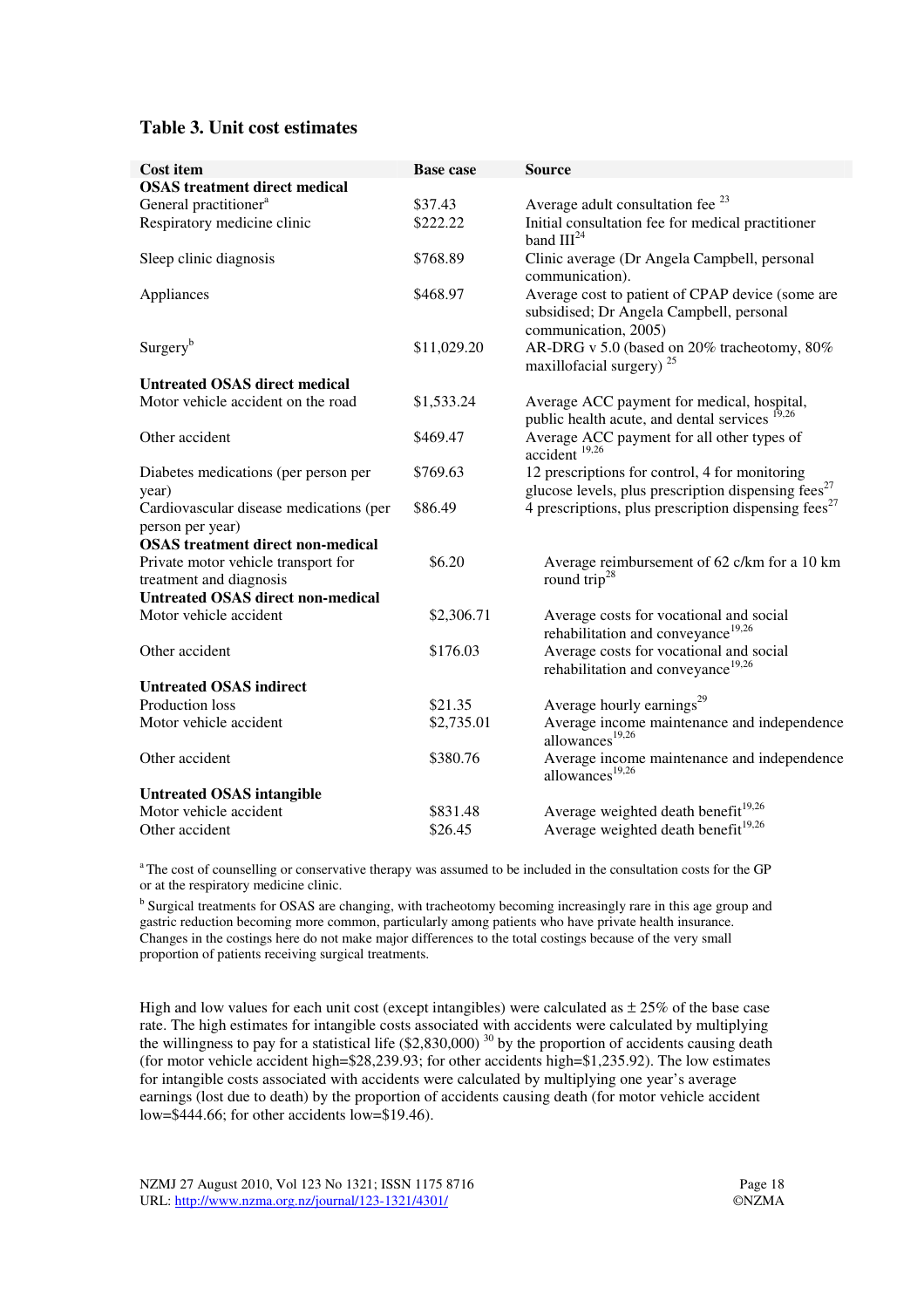#### **Table 3. Unit cost estimates**

| <b>Cost item</b>                                               | <b>Base case</b> | <b>Source</b>                                                                                                                  |
|----------------------------------------------------------------|------------------|--------------------------------------------------------------------------------------------------------------------------------|
| <b>OSAS</b> treatment direct medical                           |                  |                                                                                                                                |
| General practitioner <sup>a</sup>                              | \$37.43          | Average adult consultation fee <sup>23</sup>                                                                                   |
| Respiratory medicine clinic                                    | \$222.22         | Initial consultation fee for medical practitioner<br>band $III24$                                                              |
| Sleep clinic diagnosis                                         | \$768.89         | Clinic average (Dr Angela Campbell, personal<br>communication).                                                                |
| Appliances                                                     | \$468.97         | Average cost to patient of CPAP device (some are<br>subsidised; Dr Angela Campbell, personal<br>communication, 2005)           |
| Surgery <sup>b</sup>                                           | \$11,029.20      | AR-DRG v 5.0 (based on 20% tracheotomy, 80%<br>maxillofacial surgery) <sup>25</sup>                                            |
| <b>Untreated OSAS direct medical</b>                           |                  |                                                                                                                                |
| Motor vehicle accident on the road                             | \$1,533.24       | Average ACC payment for medical, hospital,<br>public health acute, and dental services <sup>19,26</sup>                        |
| Other accident                                                 | \$469.47         | Average ACC payment for all other types of<br>accident <sup>19,26</sup>                                                        |
| Diabetes medications (per person per<br>year)                  | \$769.63         | 12 prescriptions for control, 4 for monitoring<br>glucose levels, plus prescription dispensing fees <sup><math>27</math></sup> |
| Cardiovascular disease medications (per<br>person per year)    | \$86.49          | 4 prescriptions, plus prescription dispensing fees <sup>27</sup>                                                               |
| <b>OSAS</b> treatment direct non-medical                       |                  |                                                                                                                                |
| Private motor vehicle transport for<br>treatment and diagnosis | \$6.20           | Average reimbursement of 62 c/km for a 10 km<br>round trip <sup>28</sup>                                                       |
| <b>Untreated OSAS direct non-medical</b>                       |                  |                                                                                                                                |
| Motor vehicle accident                                         | \$2,306.71       | Average costs for vocational and social<br>rehabilitation and conveyance <sup>19,26</sup>                                      |
| Other accident                                                 | \$176.03         | Average costs for vocational and social<br>rehabilitation and conveyance <sup>19,26</sup>                                      |
| <b>Untreated OSAS indirect</b>                                 |                  |                                                                                                                                |
| Production loss                                                | \$21.35          | Average hourly earnings <sup>29</sup>                                                                                          |
| Motor vehicle accident                                         | \$2,735.01       | Average income maintenance and independence<br>allowances <sup>19,26</sup>                                                     |
| Other accident                                                 | \$380.76         | Average income maintenance and independence<br>allowances $19,26$                                                              |
| <b>Untreated OSAS intangible</b>                               |                  |                                                                                                                                |
| Motor vehicle accident                                         | \$831.48         | Average weighted death benefit <sup>19,26</sup>                                                                                |
| Other accident                                                 | \$26.45          | Average weighted death benefit <sup>19,26</sup>                                                                                |

<sup>a</sup>The cost of counselling or conservative therapy was assumed to be included in the consultation costs for the GP or at the respiratory medicine clinic.

<sup>b</sup> Surgical treatments for OSAS are changing, with tracheotomy becoming increasingly rare in this age group and gastric reduction becoming more common, particularly among patients who have private health insurance. Changes in the costings here do not make major differences to the total costings because of the very small proportion of patients receiving surgical treatments.

High and low values for each unit cost (except intangibles) were calculated as  $\pm 25\%$  of the base case rate. The high estimates for intangible costs associated with accidents were calculated by multiplying the willingness to pay for a statistical life  $(\$2,830,000)$ <sup>30</sup> by the proportion of accidents causing death (for motor vehicle accident high=\$28,239.93; for other accidents high=\$1,235.92). The low estimates for intangible costs associated with accidents were calculated by multiplying one year's average earnings (lost due to death) by the proportion of accidents causing death (for motor vehicle accident low=\$444.66; for other accidents low=\$19.46).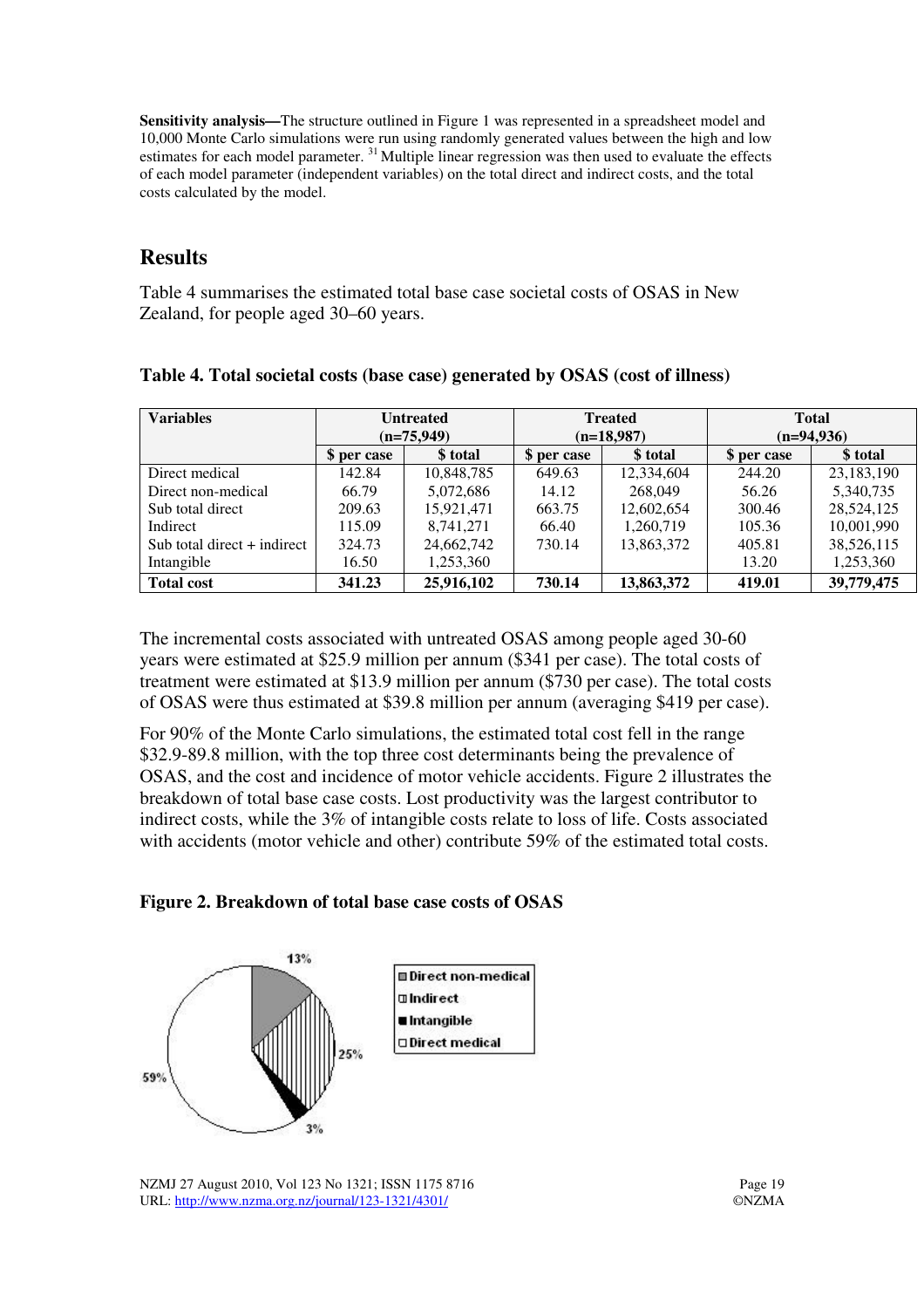**Sensitivity analysis—**The structure outlined in Figure 1 was represented in a spreadsheet model and 10,000 Monte Carlo simulations were run using randomly generated values between the high and low estimates for each model parameter.<sup>31</sup>Multiple linear regression was then used to evaluate the effects of each model parameter (independent variables) on the total direct and indirect costs, and the total costs calculated by the model.

### **Results**

Table 4 summarises the estimated total base case societal costs of OSAS in New Zealand, for people aged 30–60 years.

| <b>Variables</b>              | <b>Untreated</b><br>$(n=75,949)$ |            |             | <b>Treated</b><br>$(n=18,987)$ | <b>Total</b><br>$(n=94,936)$ |            |  |
|-------------------------------|----------------------------------|------------|-------------|--------------------------------|------------------------------|------------|--|
|                               | \$ per case                      | \$ total   | \$ per case | \$ total                       | \$ per case                  | \$ total   |  |
| Direct medical                | 142.84                           | 10,848,785 | 649.63      | 12,334,604                     | 244.20                       | 23,183,190 |  |
| Direct non-medical            | 66.79                            | 5,072,686  | 14.12       | 268,049                        | 56.26                        | 5,340,735  |  |
| Sub total direct              | 209.63                           | 15.921.471 | 663.75      | 12,602,654                     | 300.46                       | 28,524,125 |  |
| Indirect                      | 115.09                           | 8,741,271  | 66.40       | 1,260,719                      | 105.36                       | 10,001,990 |  |
| Sub total direct $+$ indirect | 324.73                           | 24,662,742 | 730.14      | 13,863,372                     | 405.81                       | 38,526,115 |  |
| Intangible                    | 16.50                            | 1,253,360  |             |                                | 13.20                        | 1,253,360  |  |
| <b>Total cost</b>             | 341.23                           | 25,916,102 | 730.14      | 13,863,372                     | 419.01                       | 39,779,475 |  |

**Table 4. Total societal costs (base case) generated by OSAS (cost of illness)** 

The incremental costs associated with untreated OSAS among people aged 30-60 years were estimated at \$25.9 million per annum (\$341 per case). The total costs of treatment were estimated at \$13.9 million per annum (\$730 per case). The total costs of OSAS were thus estimated at \$39.8 million per annum (averaging \$419 per case).

For 90% of the Monte Carlo simulations, the estimated total cost fell in the range \$32.9-89.8 million, with the top three cost determinants being the prevalence of OSAS, and the cost and incidence of motor vehicle accidents. Figure 2 illustrates the breakdown of total base case costs. Lost productivity was the largest contributor to indirect costs, while the 3% of intangible costs relate to loss of life. Costs associated with accidents (motor vehicle and other) contribute 59% of the estimated total costs.





NZMJ 27 August 2010, Vol 123 No 1321; ISSN 1175 8716 Page 19 URL: http://www.nzma.org.nz/journal/123-1321/4301/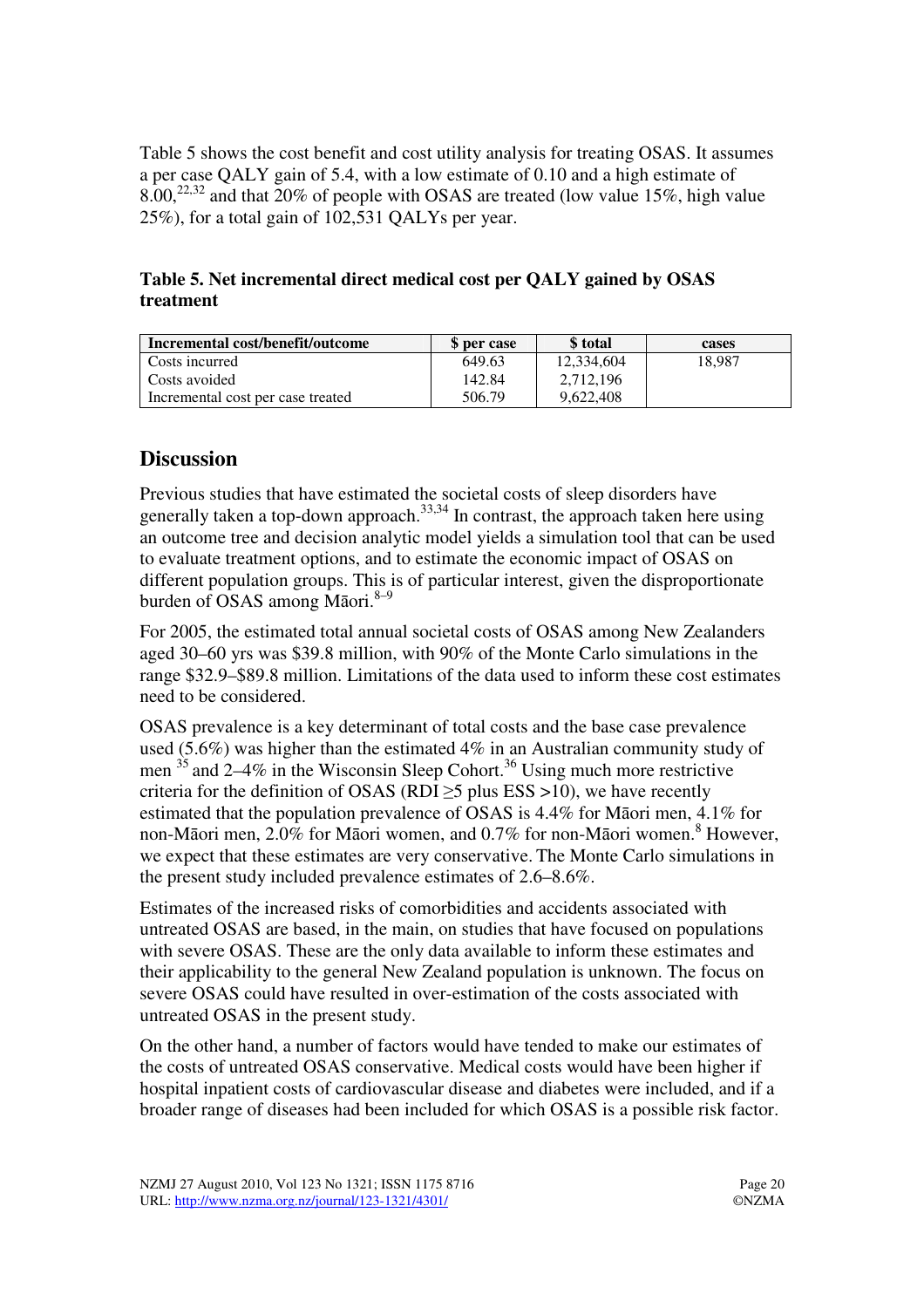Table 5 shows the cost benefit and cost utility analysis for treating OSAS. It assumes a per case QALY gain of 5.4, with a low estimate of 0.10 and a high estimate of  $8.00^{22,32}$  and that  $20\%$  of people with OSAS are treated (low value 15%, high value 25%), for a total gain of 102,531 QALYs per year.

**Table 5. Net incremental direct medical cost per QALY gained by OSAS treatment** 

| Incremental cost/benefit/outcome  | \$ per case | \$ total   | cases  |
|-----------------------------------|-------------|------------|--------|
| Costs incurred                    | 649.63      | 12.334.604 | 18.987 |
| Costs avoided                     | 142.84      | 2.712.196  |        |
| Incremental cost per case treated | 506.79      | 9,622,408  |        |

## **Discussion**

Previous studies that have estimated the societal costs of sleep disorders have generally taken a top-down approach.<sup>33,34</sup> In contrast, the approach taken here using an outcome tree and decision analytic model yields a simulation tool that can be used to evaluate treatment options, and to estimate the economic impact of OSAS on different population groups. This is of particular interest, given the disproportionate burden of OSAS among Māori. $8-9$ 

For 2005, the estimated total annual societal costs of OSAS among New Zealanders aged 30–60 yrs was \$39.8 million, with 90% of the Monte Carlo simulations in the range \$32.9–\$89.8 million. Limitations of the data used to inform these cost estimates need to be considered.

OSAS prevalence is a key determinant of total costs and the base case prevalence used (5.6%) was higher than the estimated 4% in an Australian community study of men  $35$  and 2–4% in the Wisconsin Sleep Cohort.<sup>36</sup> Using much more restrictive criteria for the definition of OSAS (RDI $>5$  plus ESS  $>10$ ), we have recently estimated that the population prevalence of OSAS is 4.4% for Māori men, 4.1% for non-Māori men, 2.0% for Māori women, and 0.7% for non-Māori women.<sup>8</sup> However, we expect that these estimates are very conservative. The Monte Carlo simulations in the present study included prevalence estimates of 2.6–8.6%.

Estimates of the increased risks of comorbidities and accidents associated with untreated OSAS are based, in the main, on studies that have focused on populations with severe OSAS. These are the only data available to inform these estimates and their applicability to the general New Zealand population is unknown. The focus on severe OSAS could have resulted in over-estimation of the costs associated with untreated OSAS in the present study.

On the other hand, a number of factors would have tended to make our estimates of the costs of untreated OSAS conservative. Medical costs would have been higher if hospital inpatient costs of cardiovascular disease and diabetes were included, and if a broader range of diseases had been included for which OSAS is a possible risk factor.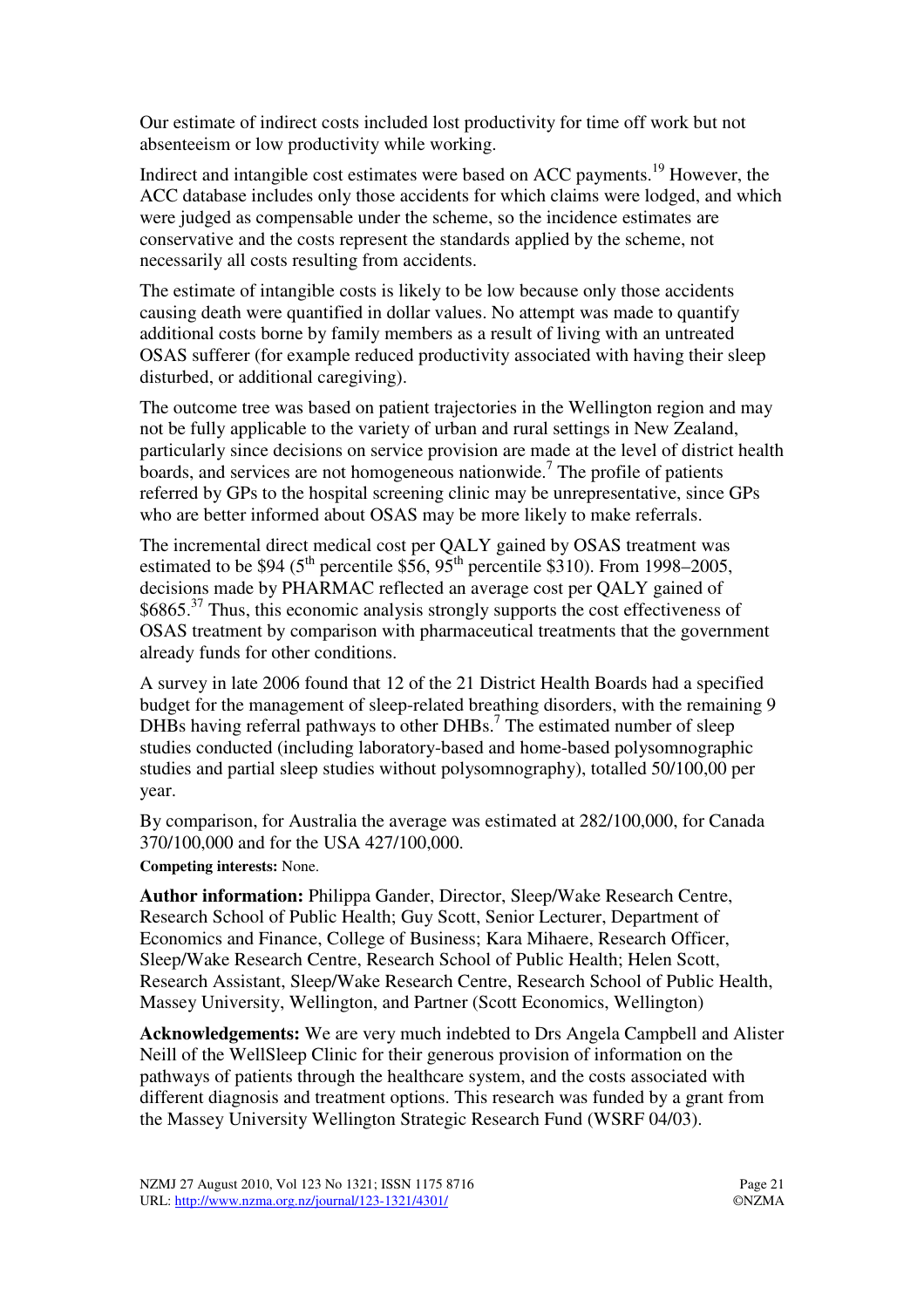Our estimate of indirect costs included lost productivity for time off work but not absenteeism or low productivity while working.

Indirect and intangible cost estimates were based on ACC payments.<sup>19</sup> However, the ACC database includes only those accidents for which claims were lodged, and which were judged as compensable under the scheme, so the incidence estimates are conservative and the costs represent the standards applied by the scheme, not necessarily all costs resulting from accidents.

The estimate of intangible costs is likely to be low because only those accidents causing death were quantified in dollar values. No attempt was made to quantify additional costs borne by family members as a result of living with an untreated OSAS sufferer (for example reduced productivity associated with having their sleep disturbed, or additional caregiving).

The outcome tree was based on patient trajectories in the Wellington region and may not be fully applicable to the variety of urban and rural settings in New Zealand, particularly since decisions on service provision are made at the level of district health boards, and services are not homogeneous nationwide.<sup>7</sup> The profile of patients referred by GPs to the hospital screening clinic may be unrepresentative, since GPs who are better informed about OSAS may be more likely to make referrals.

The incremental direct medical cost per QALY gained by OSAS treatment was estimated to be \$94 ( $5<sup>th</sup>$  percentile \$56,  $95<sup>th</sup>$  percentile \$310). From 1998–2005, decisions made by PHARMAC reflected an average cost per QALY gained of  $$6865<sup>37</sup>$  Thus, this economic analysis strongly supports the cost effectiveness of OSAS treatment by comparison with pharmaceutical treatments that the government already funds for other conditions.

A survey in late 2006 found that 12 of the 21 District Health Boards had a specified budget for the management of sleep-related breathing disorders, with the remaining 9 DHBs having referral pathways to other DHBs.<sup>7</sup> The estimated number of sleep studies conducted (including laboratory-based and home-based polysomnographic studies and partial sleep studies without polysomnography), totalled 50/100,00 per year.

By comparison, for Australia the average was estimated at 282/100,000, for Canada 370/100,000 and for the USA 427/100,000.

**Competing interests:** None.

**Author information:** Philippa Gander, Director, Sleep/Wake Research Centre, Research School of Public Health; Guy Scott, Senior Lecturer, Department of Economics and Finance, College of Business; Kara Mihaere, Research Officer, Sleep/Wake Research Centre, Research School of Public Health; Helen Scott, Research Assistant, Sleep/Wake Research Centre, Research School of Public Health, Massey University, Wellington, and Partner (Scott Economics, Wellington)

**Acknowledgements:** We are very much indebted to Drs Angela Campbell and Alister Neill of the WellSleep Clinic for their generous provision of information on the pathways of patients through the healthcare system, and the costs associated with different diagnosis and treatment options. This research was funded by a grant from the Massey University Wellington Strategic Research Fund (WSRF 04/03).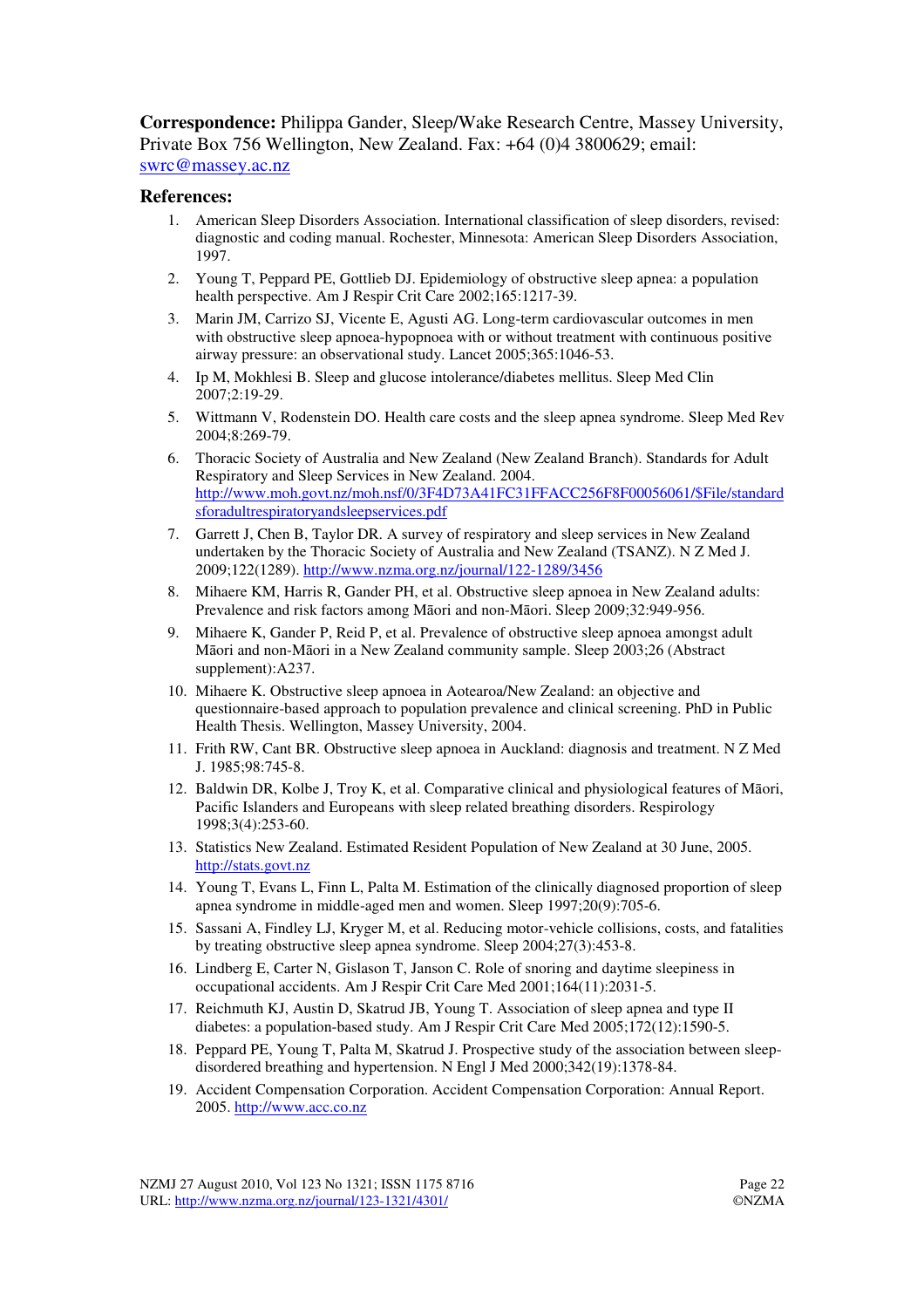**Correspondence:** Philippa Gander, Sleep/Wake Research Centre, Massey University, Private Box 756 Wellington, New Zealand. Fax: +64 (0)4 3800629; email: swrc@massey.ac.nz

#### **References:**

- 1. American Sleep Disorders Association. International classification of sleep disorders, revised: diagnostic and coding manual. Rochester, Minnesota: American Sleep Disorders Association, 1997.
- 2. Young T, Peppard PE, Gottlieb DJ. Epidemiology of obstructive sleep apnea: a population health perspective. Am J Respir Crit Care 2002;165:1217-39.
- 3. Marin JM, Carrizo SJ, Vicente E, Agusti AG. Long-term cardiovascular outcomes in men with obstructive sleep apnoea-hypopnoea with or without treatment with continuous positive airway pressure: an observational study. Lancet 2005;365:1046-53.
- 4. Ip M, Mokhlesi B. Sleep and glucose intolerance/diabetes mellitus. Sleep Med Clin 2007;2:19-29.
- 5. Wittmann V, Rodenstein DO. Health care costs and the sleep apnea syndrome. Sleep Med Rev 2004;8:269-79.
- 6. Thoracic Society of Australia and New Zealand (New Zealand Branch). Standards for Adult Respiratory and Sleep Services in New Zealand. 2004. http://www.moh.govt.nz/moh.nsf/0/3F4D73A41FC31FFACC256F8F00056061/\$File/standard sforadultrespiratoryandsleepservices.pdf
- 7. Garrett J, Chen B, Taylor DR. A survey of respiratory and sleep services in New Zealand undertaken by the Thoracic Society of Australia and New Zealand (TSANZ). N Z Med J. 2009;122(1289). http://www.nzma.org.nz/journal/122-1289/3456
- 8. Mihaere KM, Harris R, Gander PH, et al. Obstructive sleep apnoea in New Zealand adults: Prevalence and risk factors among Māori and non-Māori. Sleep 2009;32:949-956.
- 9. Mihaere K, Gander P, Reid P, et al. Prevalence of obstructive sleep apnoea amongst adult Māori and non-Māori in a New Zealand community sample. Sleep 2003;26 (Abstract supplement):A237.
- 10. Mihaere K. Obstructive sleep apnoea in Aotearoa/New Zealand: an objective and questionnaire-based approach to population prevalence and clinical screening. PhD in Public Health Thesis. Wellington, Massey University, 2004.
- 11. Frith RW, Cant BR. Obstructive sleep apnoea in Auckland: diagnosis and treatment. N Z Med J. 1985;98:745-8.
- 12. Baldwin DR, Kolbe J, Troy K, et al. Comparative clinical and physiological features of Māori, Pacific Islanders and Europeans with sleep related breathing disorders. Respirology 1998;3(4):253-60.
- 13. Statistics New Zealand. Estimated Resident Population of New Zealand at 30 June, 2005. http://stats.govt.nz
- 14. Young T, Evans L, Finn L, Palta M. Estimation of the clinically diagnosed proportion of sleep apnea syndrome in middle-aged men and women. Sleep 1997;20(9):705-6.
- 15. Sassani A, Findley LJ, Kryger M, et al. Reducing motor-vehicle collisions, costs, and fatalities by treating obstructive sleep apnea syndrome. Sleep 2004;27(3):453-8.
- 16. Lindberg E, Carter N, Gislason T, Janson C. Role of snoring and daytime sleepiness in occupational accidents. Am J Respir Crit Care Med 2001;164(11):2031-5.
- 17. Reichmuth KJ, Austin D, Skatrud JB, Young T. Association of sleep apnea and type II diabetes: a population-based study. Am J Respir Crit Care Med 2005;172(12):1590-5.
- 18. Peppard PE, Young T, Palta M, Skatrud J. Prospective study of the association between sleepdisordered breathing and hypertension. N Engl J Med 2000;342(19):1378-84.
- 19. Accident Compensation Corporation. Accident Compensation Corporation: Annual Report. 2005. http://www.acc.co.nz